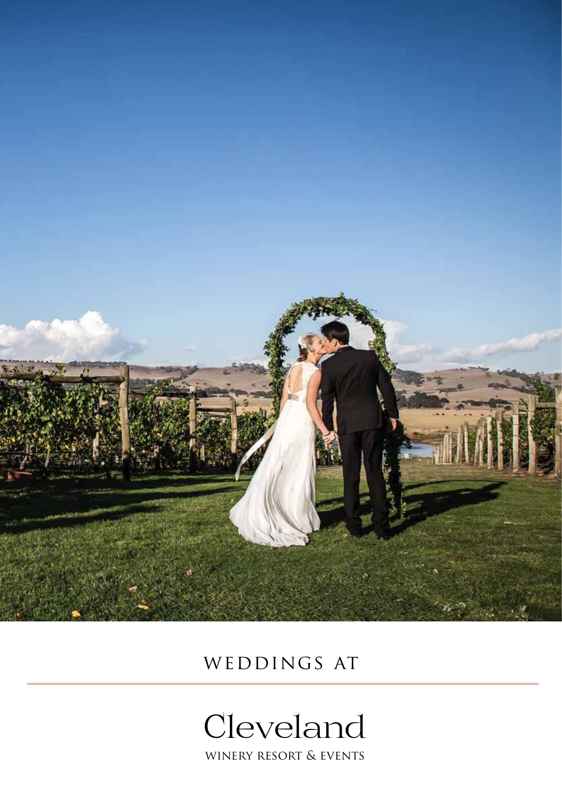

# WEDDINGS AT



winery resort & events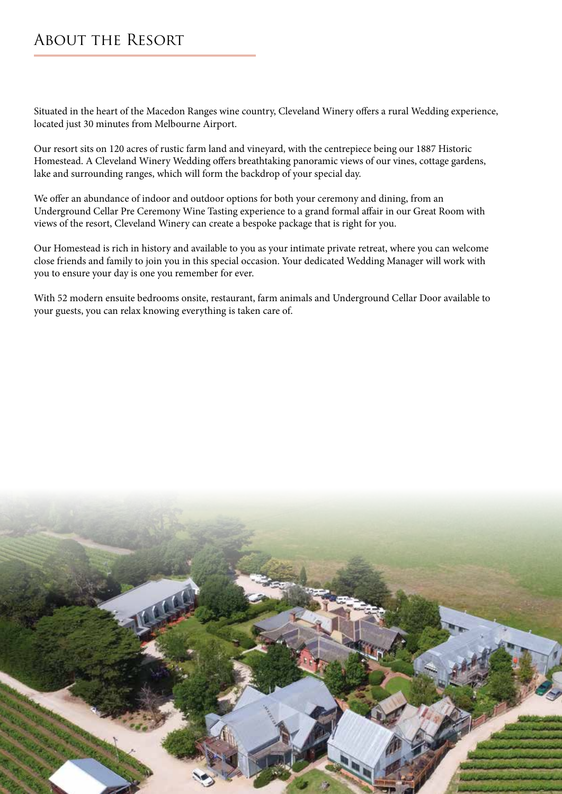## About the Resort

Situated in the heart of the Macedon Ranges wine country, Cleveland Winery offers a rural Wedding experience, located just 30 minutes from Melbourne Airport.

Our resort sits on 120 acres of rustic farm land and vineyard, with the centrepiece being our 1887 Historic Homestead. A Cleveland Winery Wedding offers breathtaking panoramic views of our vines, cottage gardens, lake and surrounding ranges, which will form the backdrop of your special day.

We offer an abundance of indoor and outdoor options for both your ceremony and dining, from an Underground Cellar Pre Ceremony Wine Tasting experience to a grand formal affair in our Great Room with views of the resort, Cleveland Winery can create a bespoke package that is right for you.

Our Homestead is rich in history and available to you as your intimate private retreat, where you can welcome close friends and family to join you in this special occasion. Your dedicated Wedding Manager will work with you to ensure your day is one you remember for ever.

With 52 modern ensuite bedrooms onsite, restaurant, farm animals and Underground Cellar Door available to your guests, you can relax knowing everything is taken care of.

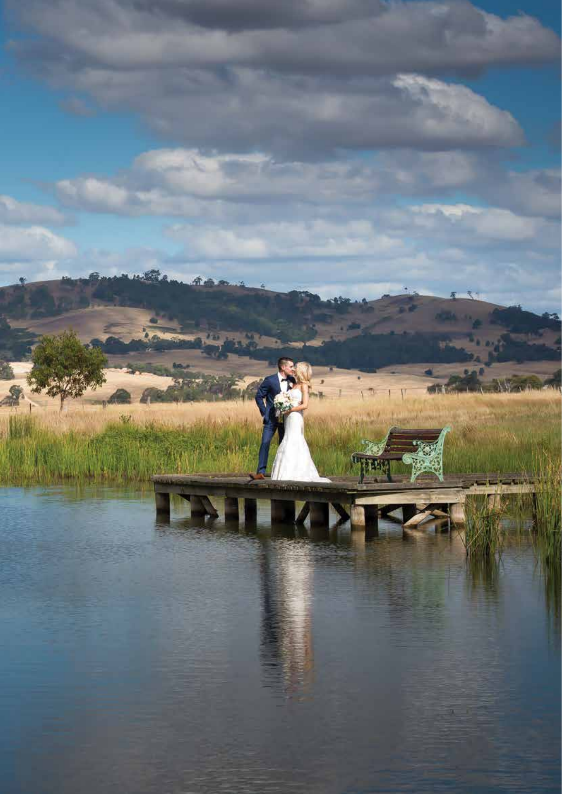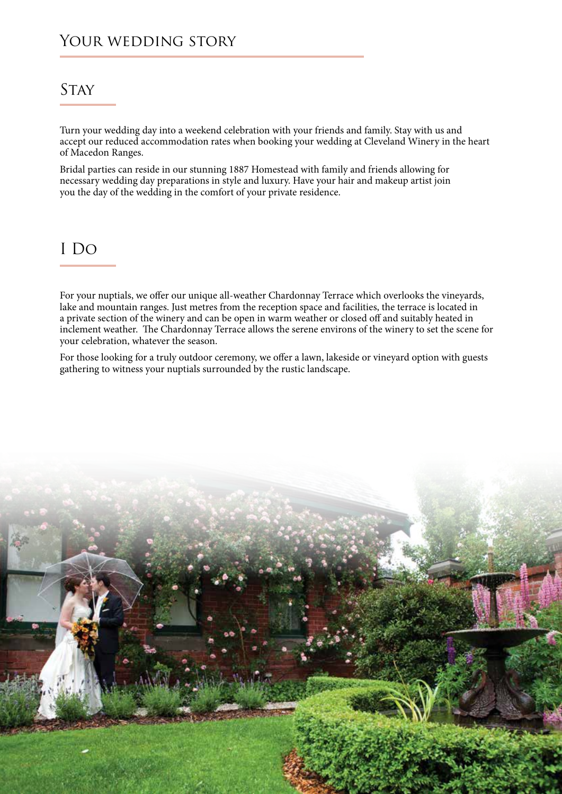## **STAY**

Turn your wedding day into a weekend celebration with your friends and family. Stay with us and accept our reduced accommodation rates when booking your wedding at Cleveland Winery in the heart of Macedon Ranges.

Bridal parties can reside in our stunning 1887 Homestead with family and friends allowing for necessary wedding day preparations in style and luxury. Have your hair and makeup artist join you the day of the wedding in the comfort of your private residence.

### I Do

For your nuptials, we offer our unique all-weather Chardonnay Terrace which overlooks the vineyards, lake and mountain ranges. Just metres from the reception space and facilities, the terrace is located in a private section of the winery and can be open in warm weather or closed off and suitably heated in inclement weather. The Chardonnay Terrace allows the serene environs of the winery to set the scene for your celebration, whatever the season.

For those looking for a truly outdoor ceremony, we offer a lawn, lakeside or vineyard option with guests gathering to witness your nuptials surrounded by the rustic landscape.

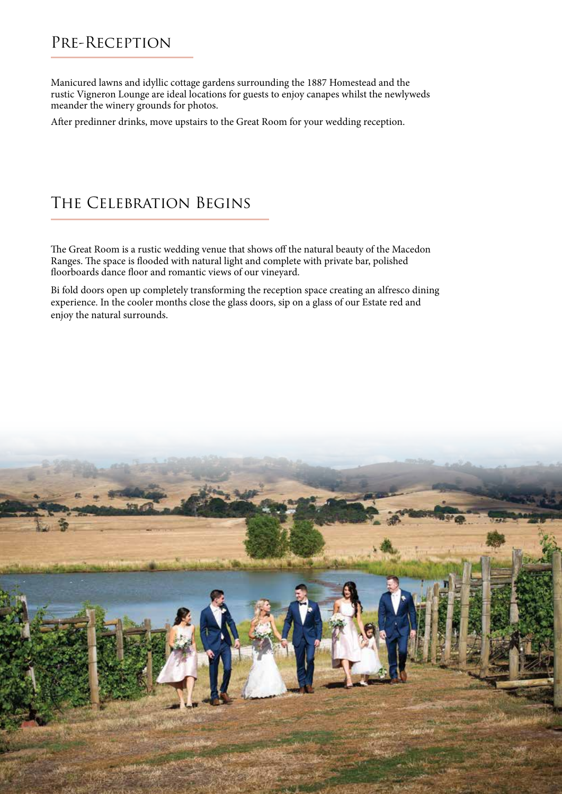Manicured lawns and idyllic cottage gardens surrounding the 1887 Homestead and the rustic Vigneron Lounge are ideal locations for guests to enjoy canapes whilst the newlyweds meander the winery grounds for photos.

After predinner drinks, move upstairs to the Great Room for your wedding reception.

## The Celebration Begins

The Great Room is a rustic wedding venue that shows off the natural beauty of the Macedon Ranges. The space is flooded with natural light and complete with private bar, polished floorboards dance floor and romantic views of our vineyard.

Bi fold doors open up completely transforming the reception space creating an alfresco dining experience. In the cooler months close the glass doors, sip on a glass of our Estate red and enjoy the natural surrounds.

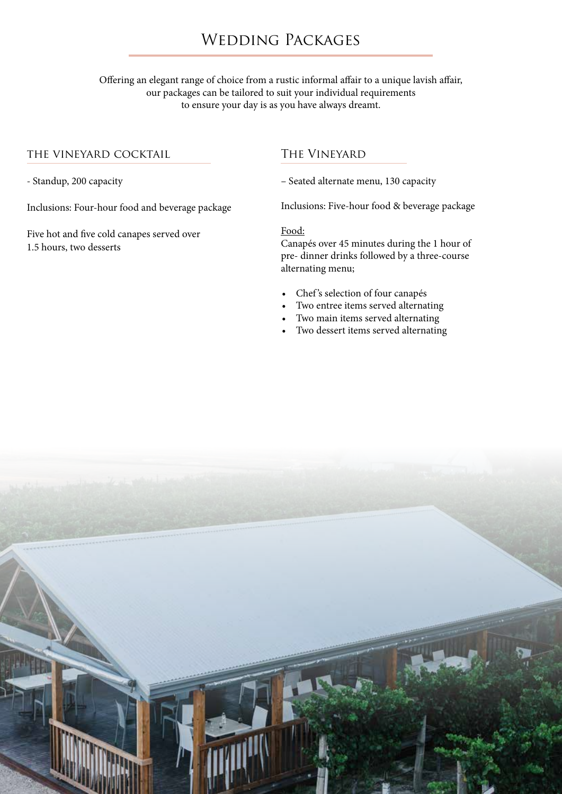Offering an elegant range of choice from a rustic informal affair to a unique lavish affair, our packages can be tailored to suit your individual requirements to ensure your day is as you have always dreamt.

#### the vineyard cocktail

The Vineyard

- Standup, 200 capacity

Inclusions: Four-hour food and beverage package

Five hot and five cold canapes served over 1.5 hours, two desserts

– Seated alternate menu, 130 capacity

Inclusions: Five-hour food & beverage package

#### Food:

Canapés over 45 minutes during the 1 hour of pre- dinner drinks followed by a three-course alternating menu;

- Chef 's selection of four canapés
- Two entree items served alternating
- Two main items served alternating
- Two dessert items served alternating

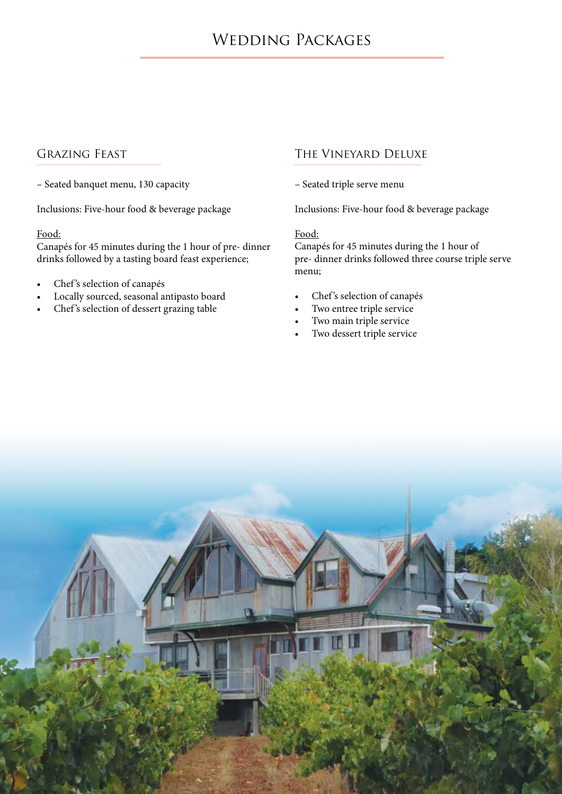## WEDDING PACKAGES

#### Grazing Feast

– Seated banquet menu, 130 capacity

Inclusions: Five-hour food & beverage package

#### Food:

Canapés for 45 minutes during the 1 hour of pre- dinner drinks followed by a tasting board feast experience;

- Chef's selection of canapés
- Locally sourced, seasonal antipasto board
- Chef 's selection of dessert grazing table

#### The Vineyard Deluxe

– Seated triple serve menu

Inclusions: Five-hour food & beverage package

#### Food:

Canapés for 45 minutes during the 1 hour of pre- dinner drinks followed three course triple serve menu;

- Chef 's selection of canapés
- Two entree triple service
- Two main triple service
- Two dessert triple service

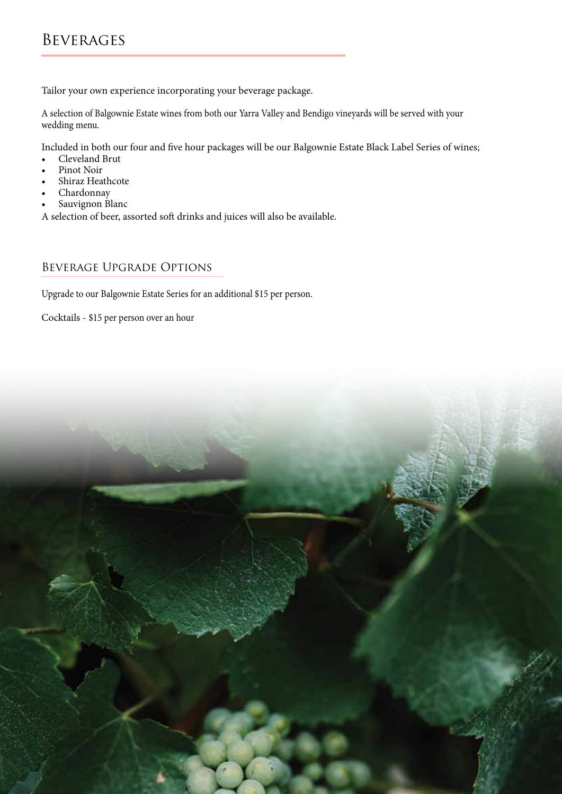## **BEVERAGES**

Tailor your own experience incorporating your beverage package.

A selection of Balgownie Estate wines from both our Yarra Valley and Bendigo vineyards will be served with your wedding menu.

Included in both our four and five hour packages will be our Balgownie Estate Black Label Series of wines;

- Cleveland Brut
- Pinot Noir
- Shiraz Heathcote
- Chardonnay
- Sauvignon Blanc

A selection of beer, assorted soft drinks and juices will also be available.

#### Beverage Upgrade Options

Upgrade to our Balgownie Estate Series for an additional \$15 per person.

Cocktails - \$15 per person over an hour

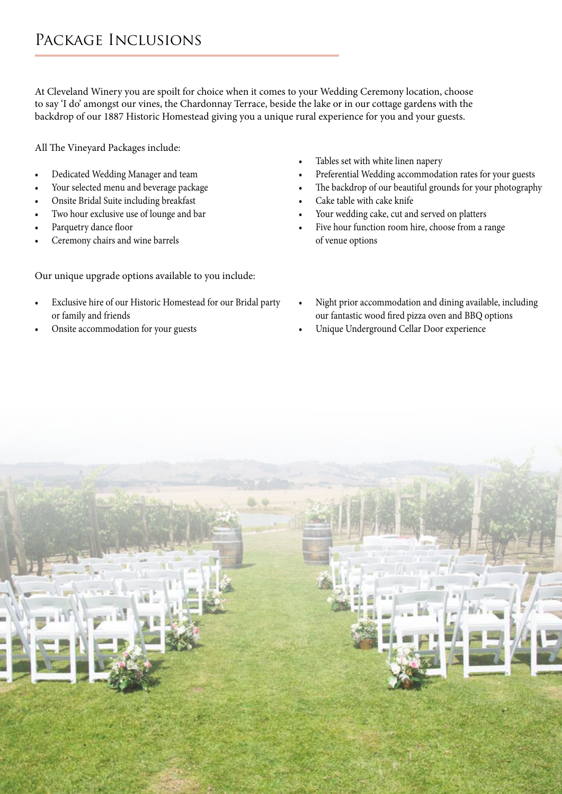At Cleveland Winery you are spoilt for choice when it comes to your Wedding Ceremony location, choose to say 'I do' amongst our vines, the Chardonnay Terrace, beside the lake or in our cottage gardens with the backdrop of our 1887 Historic Homestead giving you a unique rural experience for you and your guests.

All The Vineyard Packages include:

- Dedicated Wedding Manager and team
- Your selected menu and beverage package
- Onsite Bridal Suite including breakfast
- Two hour exclusive use of lounge and bar
- Parquetry dance floor
- Ceremony chairs and wine barrels

Our unique upgrade options available to you include:

- Exclusive hire of our Historic Homestead for our Bridal party or family and friends
- Onsite accommodation for your guests
- Tables set with white linen napery
- Preferential Wedding accommodation rates for your guests
- The backdrop of our beautiful grounds for your photography
- Cake table with cake knife
- Your wedding cake, cut and served on platters
- Five hour function room hire, choose from a range of venue options
- Night prior accommodation and dining available, including our fantastic wood fired pizza oven and BBQ options
- Unique Underground Cellar Door experience

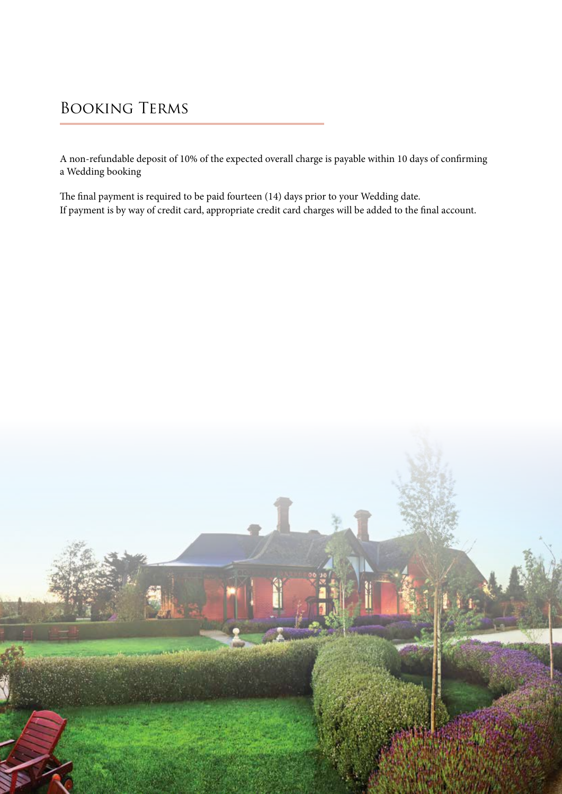## Booking Terms

A non-refundable deposit of 10% of the expected overall charge is payable within 10 days of confirming a Wedding booking

The final payment is required to be paid fourteen (14) days prior to your Wedding date. If payment is by way of credit card, appropriate credit card charges will be added to the final account.

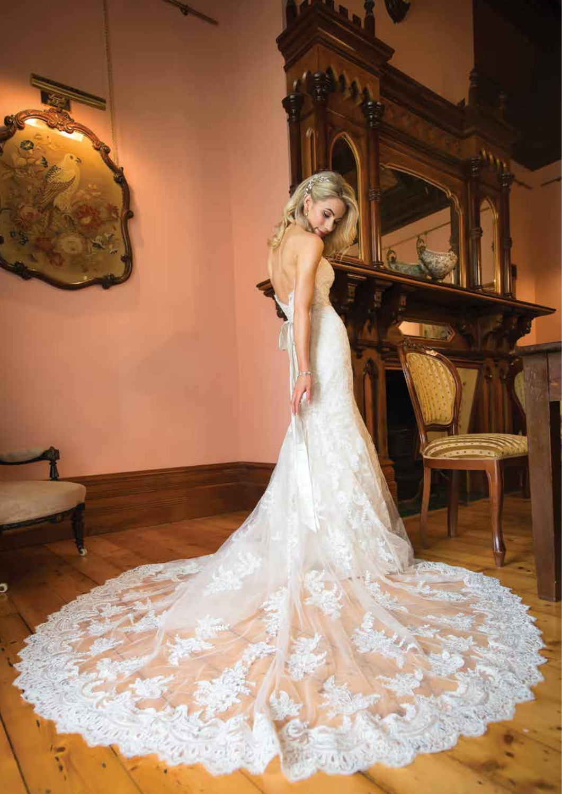